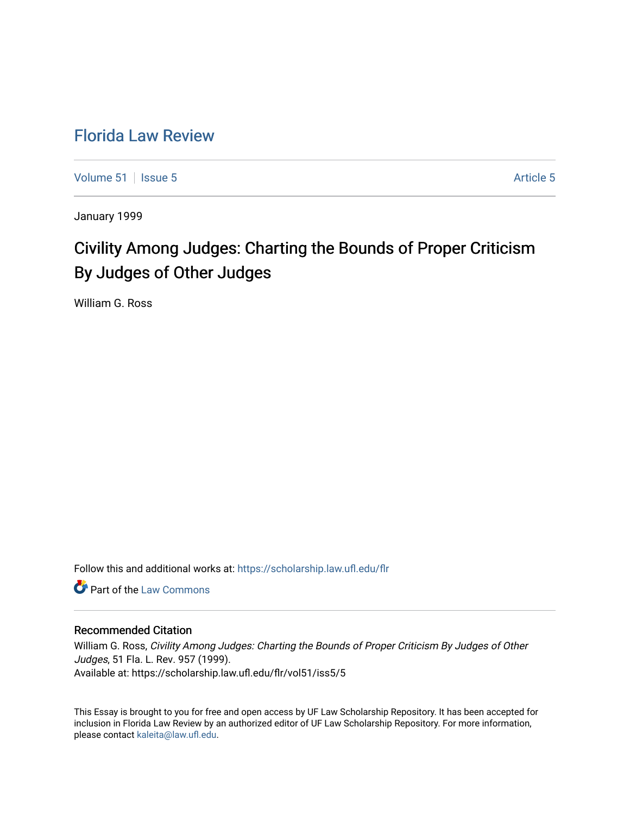## [Florida Law Review](https://scholarship.law.ufl.edu/flr)

[Volume 51](https://scholarship.law.ufl.edu/flr/vol51) | [Issue 5](https://scholarship.law.ufl.edu/flr/vol51/iss5) Article 5

January 1999

# Civility Among Judges: Charting the Bounds of Proper Criticism By Judges of Other Judges

William G. Ross

Follow this and additional works at: [https://scholarship.law.ufl.edu/flr](https://scholarship.law.ufl.edu/flr?utm_source=scholarship.law.ufl.edu%2Fflr%2Fvol51%2Fiss5%2F5&utm_medium=PDF&utm_campaign=PDFCoverPages)

**C** Part of the [Law Commons](http://network.bepress.com/hgg/discipline/578?utm_source=scholarship.law.ufl.edu%2Fflr%2Fvol51%2Fiss5%2F5&utm_medium=PDF&utm_campaign=PDFCoverPages)

## Recommended Citation

William G. Ross, Civility Among Judges: Charting the Bounds of Proper Criticism By Judges of Other Judges, 51 Fla. L. Rev. 957 (1999). Available at: https://scholarship.law.ufl.edu/flr/vol51/iss5/5

This Essay is brought to you for free and open access by UF Law Scholarship Repository. It has been accepted for inclusion in Florida Law Review by an authorized editor of UF Law Scholarship Repository. For more information, please contact [kaleita@law.ufl.edu](mailto:kaleita@law.ufl.edu).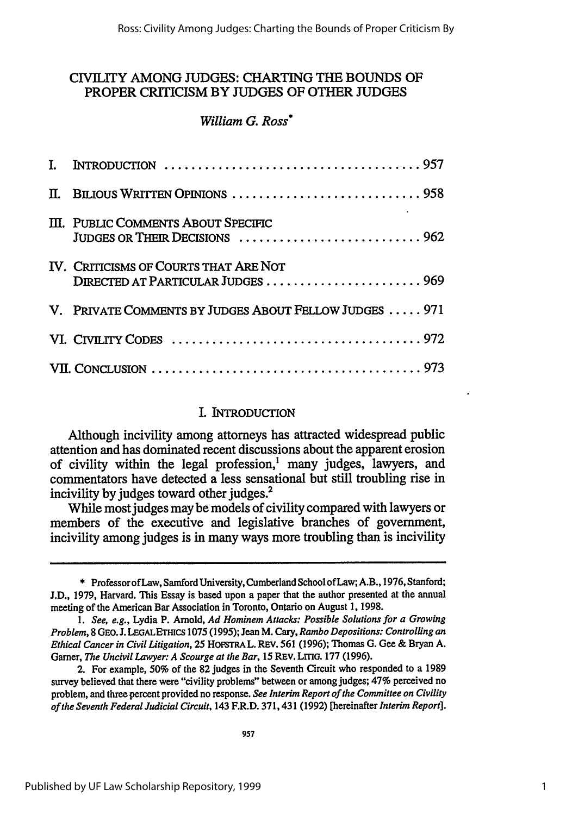## **CIVILITY AMONG JUDGES:** CHARTING THE **BOUNDS** OF PROPER CRITICISM BY **JUDGES** OF OTHER **JUDGES**

## *William G. Ross\**

| П. |                                                                           |  |
|----|---------------------------------------------------------------------------|--|
|    | III. PUBLIC COMMENTS ABOUT SPECIFIC<br>JUDGES OR THEIR DECISIONS  962     |  |
|    | IV. CRITICISMS OF COURTS THAT ARE NOT<br>DIRECTED AT PARTICULAR JUDGES969 |  |
|    | V. PRIVATE COMMENTS BY JUDGES ABOUT FELLOW JUDGES  971                    |  |
|    |                                                                           |  |
|    |                                                                           |  |

## I. INTRODUCTION

Although incivility among attorneys has attracted widespread public attention and has dominated recent discussions about the apparent erosion of civility within the legal profession,' many judges, lawyers, and commentators have detected a less sensational but still troubling rise in incivility **by** judges toward other judges.2

While most judges may be models of civility compared with lawyers or members of the executive and legislative branches of government, incivility among judges is in many ways more troubling than is incivility

<sup>\*</sup> Professor of Law, Samford University, Cumberland School ofLaw; A.B., 1976, Stanford; J.D., 1979, Harvard. This Essay is based upon a paper that the author presented at the annual meeting of the American Bar Association in Toronto, Ontario on August 1, 1998.

*<sup>1.</sup> See, e.g.,* Lydia P. Arnold, *Ad Hominem Attacks: Possible Solutions for a Growing Problem,* 8 GEO. J. **LEGALETHICS** 1075 (1995); Jean M. Cary, *Rambo Depositions: Controlling an Ethical Cancer in Civil Litigation,* 25 **HOFSTRA** L. REV. 561 (1996); Thomas **G.** Gee & Bryan A. Garner, The *Uncivil Lawyer: A Scourge at the Bar, 15* REV. LrrIo. 177 (1996).

<sup>2.</sup> For example, 50% of the 82 judges in the Seventh Circuit who responded to a 1989 survey believed that there were "civility problems" between or among judges; 47% perceived no problem, and three percent provided no response. *See Interim Report of the Committee on Civility of the Seventh Federal Judicial Circuit,* 143 F.R.D. 371, 431 (1992) [hereinafter *Interim Report].*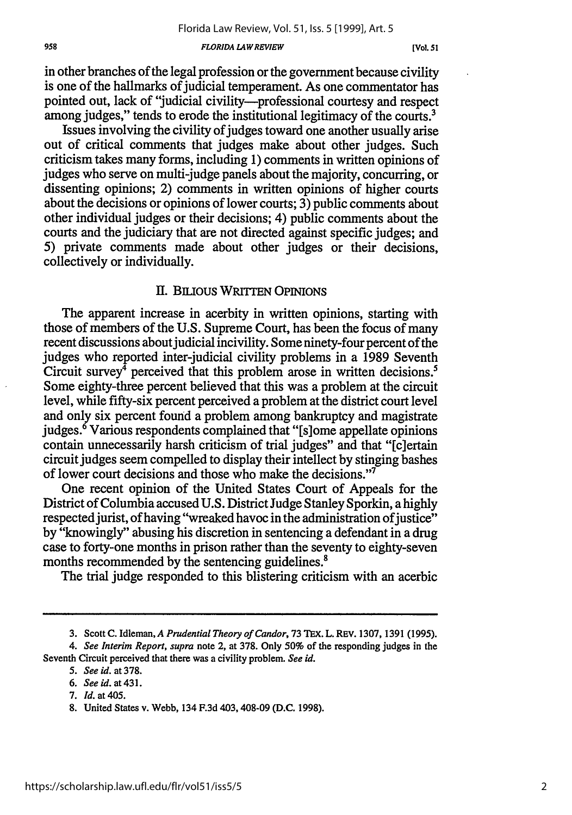#### **FLORIDA LAW** *REVIEW*

in other branches of the legal profession or the government because civility is one of the hallmarks of judicial temperament. As one commentator has pointed out, lack of "judicial civility-professional courtesy and respect among judges," tends to erode the institutional legitimacy of the courts.<sup>3</sup>

Issues involving the civility of judges toward one another usually arise out of critical comments that judges make about other judges. Such criticism takes many forms, including 1) comments in written opinions of judges who serve on multi-judge panels about the majority, concurring, or dissenting opinions; 2) comments in written opinions of higher courts about the decisions or opinions of lower courts; 3) public comments about other individual judges or their decisions; 4) public comments about the courts and the judiciary that are not directed against specific judges; and 5) private comments made about other judges or their decisions, collectively or individually.

### II. BILuous WRITTEN OPINIONS

The apparent increase in acerbity in written opinions, starting with those of members of the U.S. Supreme Court, has been the focus of many recent discussions about judicial incivility. Some ninety-four percent of the judges who reported inter-judicial civility problems in a 1989 Seventh Circuit survey<sup> $\bar{4}$ </sup> perceived that this problem arose in written decisions.<sup>5</sup> Some eighty-three percent believed that this was a problem at the circuit level, while fifty-six percent perceived a problem at the district court level and only six percent found a problem among bankruptcy and magistrate judges.<sup>6</sup> Various respondents complained that "[s]ome appellate opinions contain unnecessarily harsh criticism of trial judges" and that "[c]ertain circuit judges seem compelled to display their intellect by stinging bashes of lower court decisions and those who make the decisions."7

One recent opinion of the United States Court of Appeals for the District of Columbia accused U.S. District Judge Stanley Sporkin, a highly respected jurist, of having "wreaked havoc in the administration of justice" by "knowingly" abusing his discretion in sentencing a defendant in a drug case to forty-one months in prison rather than the seventy to eighty-seven months recommended by the sentencing guidelines.<sup>8</sup>

The trial judge responded to this blistering criticism with an acerbic

- *5. See id.* at **378.**
- *6. Seeid.* at431.
- 7. *Id.* at 405.

<sup>3.</sup> Scott C. Idleman,A *Prudential Theory of Candor,* 73 TeX. L. REV. 1307, 1391 (1995).

*<sup>4.</sup> See Interim Report, supra* note 2, at 378. Only **50%** of the responding judges in the Seventh Circuit perceived that there was a civility problem. *See id.*

<sup>8.</sup> United States v. Webb, 134 F.3d 403, 408-09 (D.C. 1998).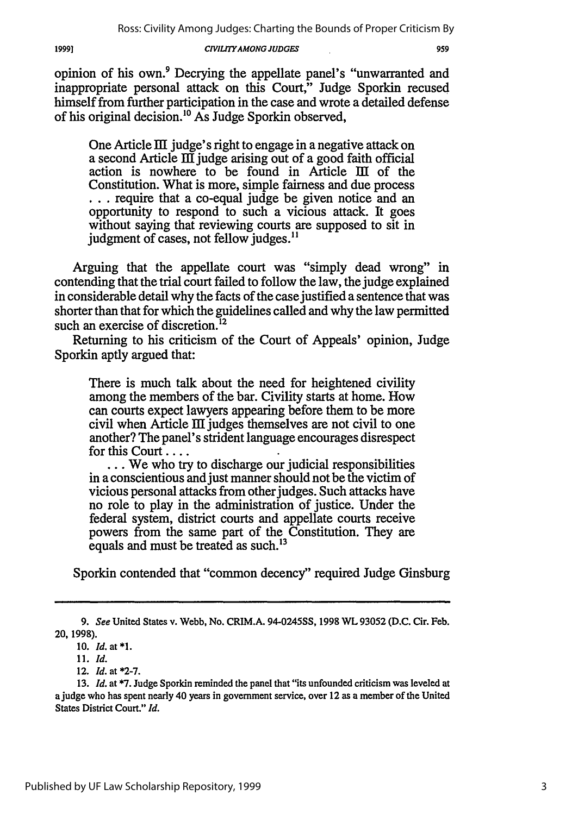19991

#### *CIVILrIYAMONG JUDGES*

opinion of his own.9 Decrying the appellate panel's "unwarranted and inappropriate personal attack on this Court," Judge Sporkin recused himself from further participation in the case and wrote a detailed defense of his original decision.<sup>10</sup> As Judge Sporkin observed,

One Article III judge's right to engage in a negative attack on a second Article  $\overline{III}$  judge arising out of a good faith official action is nowhere to be found in Article **Iff** of the Constitution. What is more, simple fairness and due process **...** require that a co-equal judge be given notice and an opportunity to respond to such a vicious attack. It goes without saying that reviewing courts are supposed to sit in judgment of cases, not fellow judges.<sup>11</sup>

Arguing that the appellate court was "simply dead wrong" in contending that the trial court failed to follow the law, the judge explained in considerable detail why the facts of the case justified a sentence that was shorter than that for which the guidelines called and why the law permitted such an exercise of discretion.<sup>12</sup>

Returning to his criticism of the Court of Appeals' opinion, Judge Sporkin aptly argued that:

There is much talk about the need for heightened civility among the members of the bar. Civility starts at home. How can courts expect lawyers appearing before them to be more civil when Article III judges themselves are not civil to one another? The panel's strident language encourages disrespect for this Court ....

**...** We who try to discharge our judicial responsibilities in a conscientious and just manner should not be the victim of vicious personal attacks from other judges. Such attacks have no role to play in the administration of justice. Under the federal system, district courts and appellate courts receive powers from the same part of the Constitution. They are equals and must be treated as such.'<sup>3</sup>

Sporkin contended that "common decency" required Judge Ginsburg

**<sup>9.</sup>** See United States v. Webb, No. CRIM.A. 94-0245SS, 1998 WL **93052 (D.C.** Cir. Feb. **20, 1998).**

**<sup>10.</sup>** Id.at\*l.

<sup>11.</sup> Id.

<sup>12.</sup> Id. at **\*2-7.**

**<sup>13.</sup>** *Id.* at **\*7.** Judge Sporkin reminded the panel that "its unfounded criticism was leveled at a judge who has spent nearly 40 years in government service, over 12 as a member of the United States District Court." *Id.*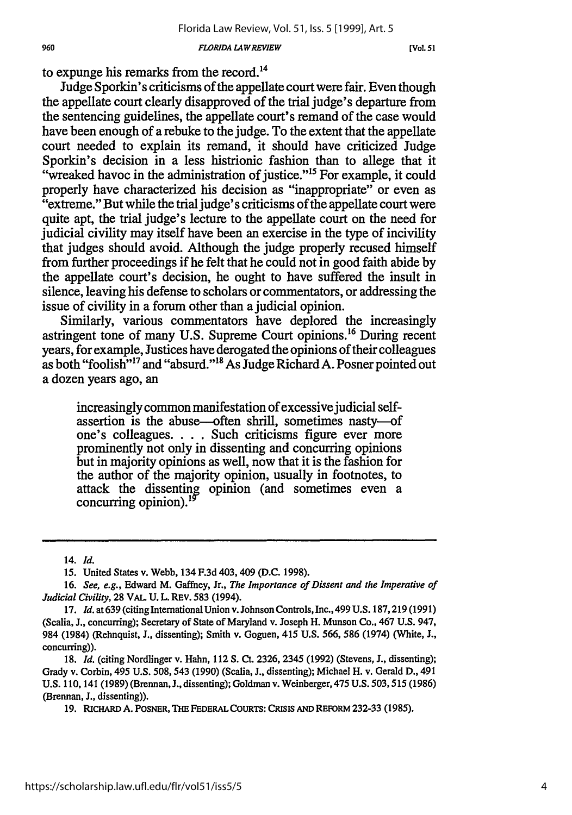#### *FLORIDA LAWREVIEW*

**[Vol 51**

to expunge his remarks from the record.14

Judge Sporkin's criticisms of the appellate court were fair. Even though the appellate court clearly disapproved of the trial judge's departure from the sentencing guidelines, the appellate court's remand of the case would have been enough of a rebuke to the judge. To the extent that the appellate court needed to explain its remand, it should have criticized Judge Sporkin's decision in a less histrionic fashion than to allege that it "wreaked havoc in the administration of justice."<sup>15</sup> For example, it could properly have characterized his decision as "inappropriate" or even as "extreme." But while the trial judge's criticisms of the appellate court were quite apt, the trial judge's lecture to the appellate court on the need for judicial civility may itself have been an exercise in the type of incivility that judges should avoid. Although the judge properly recused himself from further proceedings if he felt that he could not in good faith abide by the appellate court's decision, he ought to have suffered the insult in silence, leaving his defense to scholars or commentators, or addressing the issue of civility in a forum other than a judicial opinion.

Similarly, various commentators have deplored the increasingly astringent tone of many U.S. Supreme Court opinions.<sup>16</sup> During recent years, for example, Justices have derogated the opinions of their colleagues as both "foolish"<sup>17</sup> and "absurd."<sup>18</sup> As Judge Richard A. Posner pointed out a dozen years ago, an

increasingly common manifestation of excessive judicial selfassertion is the abuse-often shrill, sometimes nasty-of one's colleagues. . . . Such criticisms figure ever more prominently not only in dissenting and concurring opinions but in majority opinions as well, now that it is the fashion for the author of the majority opinion, usually in footnotes, to attack the dissenting opinion (and sometimes even a concurring opinion).<sup>19</sup>

<sup>14.</sup> *Id.*

<sup>15.</sup> United States v. Webb, 134 F.3d 403,409 (D.C. 1998).

<sup>16.</sup> *See, e.g.,* Edward M. Gaffney, Jr., *The Importance of Dissent and the Imperative of Judicial Civility,* **28** VAL **U.** L. REv. **583** (1994).

<sup>17.</sup> *Id.* at 639 (citing InternationalUnion v. Johnson Controls, Inc., 499 U.S. 187,219 (1991) (Scalia, J., concurring); Secretary of State of Maryland v. Joseph H. Munson Co., 467 U.S. 947, 984 (1984) (Rehnquist, J., dissenting); Smith v. Goguen, 415 U.S. 566, 586 (1974) (White, J., concurring)).

<sup>18.</sup> *Id.* (citing Nordlinger v. Hahn, 112 **S.** Ct. 2326, 2345 (1992) (Stevens, J., dissenting); Grady v. Corbin, 495 U.S. 508,543 (1990) (Scalia, **J.,** dissenting); Michael H. v. Gerald D., 491 U.S. 110, 141 (1989) (Brennan, J., dissenting); Goldman v. Weinberger, 475 U.S. 503,515 (1986) (Brennan, **J.,** dissenting)).

**<sup>19.</sup> RIcHARD A.** POSNER, THE **FEDERAL COURTS: CRisis AND REFORM** 232-33 (1985).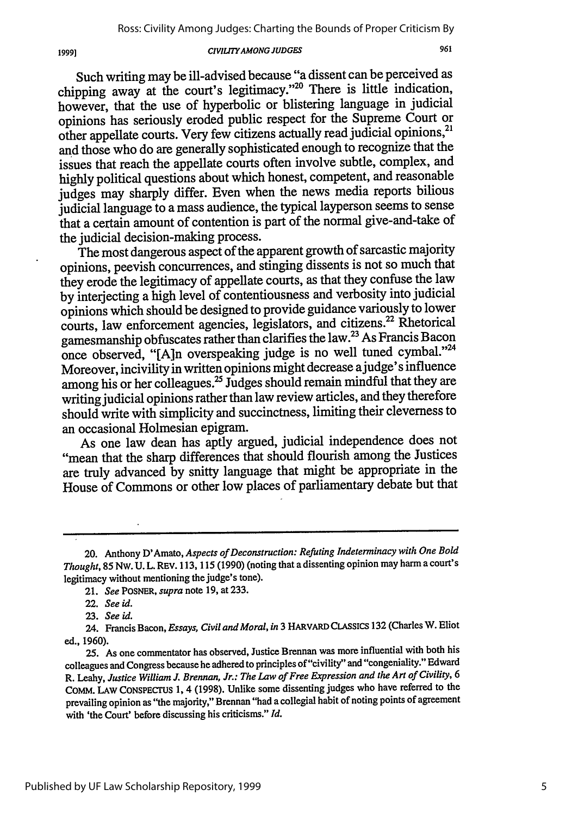#### *CIVIL7YAMONG JUDGES*

Such writing may be ill-advised because "a dissent can be perceived as chipping away at the court's legitimacy."<sup>20</sup> There is little indication, however, that the use of hyperbolic or blistering language in judicial opinions has seriously eroded public respect for the Supreme Court or other appellate courts. Very few citizens actually read judicial opinions,<sup>21</sup> and those who do are generally sophisticated enough to recognize that the issues that reach the appellate courts often involve subtle, complex, and highly political questions about which honest, competent, and reasonable judges may sharply differ. Even when the news media reports bilious judicial language to a mass audience, the typical layperson seems to sense that a certain amount of contention is part of the normal give-and-take of the judicial decision-making process.

The most dangerous aspect of the apparent growth of sarcastic majority opinions, peevish concurrences, and stinging dissents is not so much that they erode the legitimacy of appellate courts, as that they confuse the law by interjecting a high level of contentiousness and verbosity into judicial opinions which should be designed to provide guidance variously to lower courts, law enforcement agencies, legislators, and citizens.<sup>22</sup> Rhetorical gamesmanship obfuscates rather than clarifies the law.23 As Francis Bacon once observed, "[A]n overspeaking judge is no well tuned cymbal."24 Moreover, incivility in written opinions might decrease ajudge' s influence among his or her colleagues.<sup>25</sup> Judges should remain mindful that they are writing judicial opinions rather than law review articles, and they therefore should write with simplicity and succinctness, limiting their cleverness to an occasional Holmesian epigram.

As one law dean has aptly argued, judicial independence does not "mean that the sharp differences that should flourish among the Justices are truly advanced by snitty language that might be appropriate in the House of Commons or other low places of parliamentary debate but that

<sup>20.</sup> Anthony D'Amato, *Aspects of Deconstruction: Refuting Indeterminacy with One Bold Thought,* 85 NW. U. L. REV. 113, 115 (1990) (noting that a dissenting opinion may harm a court's legitimacy without mentioning the judge's tone).

<sup>21.</sup> *See* POSNER, *supra* note 19, at 233.

<sup>22.</sup> *See id.*

<sup>23.</sup> *See id.*

<sup>24.</sup> Francis Bacon, *Essays, Civil and Moral, in* 3 HARVARD CLASSIcS 132 (Charles W. Eliot ed., 1960).

**<sup>25.</sup>** As one commentator has observed, Justice Brennan was more influential with both his colleagues and Congress because he adhered to principles of "civility" and "congeniality." Edward R. Leahy, *Justice William J. Brennan, Jr.: The Law of Free Expression and the Art of Civility, 6* CoMM. LAW CoNSPECrUs 1, 4 (1998). Unlike some dissenting judges who have referred to the prevailing opinion as "the majority," Brennan "had a collegial habit of noting points of agreement with 'the Court' before discussing his criticisms." *Id.*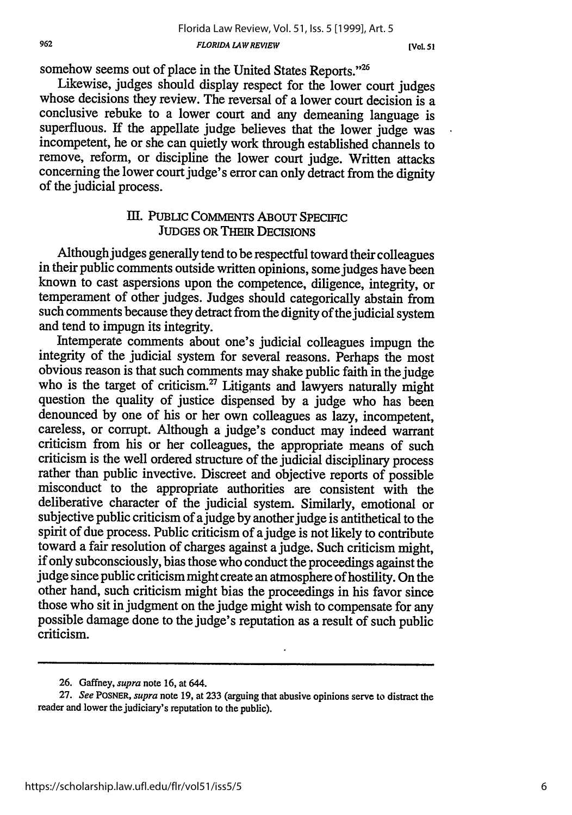somehow seems out of place in the United States Reports."<sup>26</sup><br>Likewise, judges should display respect for the lower court judges whose decisions they review. The reversal of a lower court decision is a conclusive rebuke to a lower court and any demeaning language is superfluous. If the appellate judge believes that the lower judge was incompetent, he or she can quietly work through established channels to remove, reform, or discipline the lower court judge. Written attacks concerning the lower court judge's error can only detract from the dignity of the judicial process.

## **III. PUBLIC COMMENTS ABOUT SPECIFIC JUDGES** OR THEIR DECISIONS

Although judges generally tend to be respectful toward their colleagues in their public comments outside written opinions, some judges have been known to cast aspersions upon the competence, diligence, integrity, or temperament of other judges. Judges should categorically abstain from such comments because they detract from the dignity of the judicial system and tend to impugn its integrity.

Intemperate comments about one's judicial colleagues impugn the integrity of the judicial system for several reasons. Perhaps the most obvious reason is that such comments may shake public faith in the judge who is the target of criticism.<sup>27</sup> Litigants and lawyers naturally might question the quality of justice dispensed by a judge who has been denounced by one of his or her own colleagues as lazy, incompetent, careless, or corrupt. Although a judge's conduct may indeed warrant criticism from his or her colleagues, the appropriate means of such criticism is the well ordered structure of the judicial disciplinary process misconduct to the appropriate authorities are consistent with the deliberative character of the judicial system. Similarly, emotional or subjective public criticism of a judge by another judge is antithetical to the spirit of due process. Public criticism of a judge is not likely to contribute toward a fair resolution of charges against a judge. Such criticism might, if only subconsciously, bias those who conduct the proceedings against the judge since public criticism might create an atmosphere of hostility. On the other hand, such criticism might bias the proceedings in his favor since those who sit in judgment on the judge might wish to compensate for any possible damage done to the judge's reputation as a result of such public criticism.

<sup>26.</sup> Gaffney, *supra* note 16, at 644.

<sup>27.</sup> *See* POSNER, *supra* note 19, at 233 (arguing that abusive opinions serve to distract the reader and lower the judiciary's reputation to the public).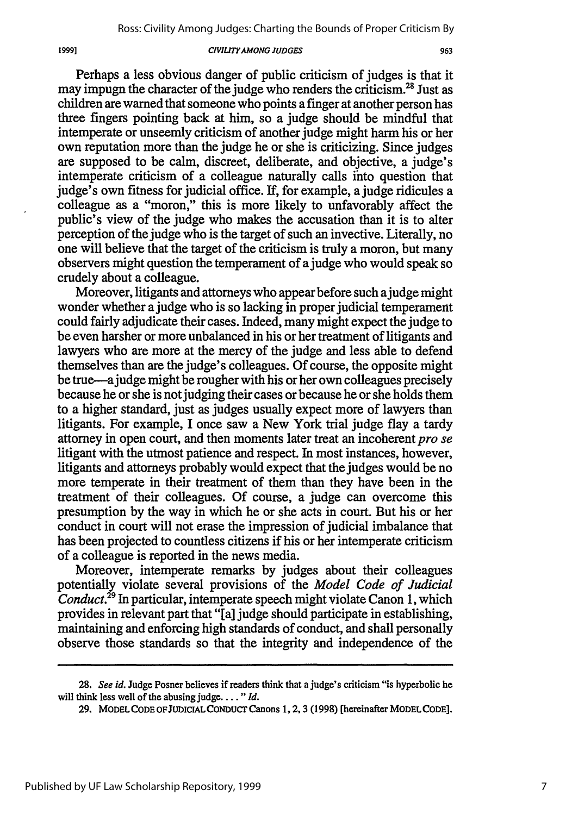#### *CIWLJTY AMONG JUDGES*

Perhaps a less obvious danger of public criticism of judges is that it may impugn the character of the judge who renders the criticism.<sup>28</sup> Just as children are warned that someone who points a finger at another person has three fingers pointing back at him, so a judge should be mindful that intemperate or unseemly criticism of another judge might harm his or her own reputation more than the judge he or she is criticizing. Since judges are supposed to be calm, discreet, deliberate, and objective, a judge's intemperate criticism of a colleague naturally calls into question that judge's own fitness for judicial office. If, for example, a judge ridicules a colleague as a "moron," this is more likely to unfavorably affect the public's view of the judge who makes the accusation than it is to alter perception of the judge who is the target of such an invective. Literally, no one will believe that the target of the criticism is truly a moron, but many observers might question the temperament of a judge who would speak so crudely about a colleague.

Moreover, litigants and attorneys who appear before such a judge might wonder whether a judge who is so lacking in proper judicial temperament could fairly adjudicate their cases. Indeed, many might expect the judge to be even harsher or more unbalanced in his or her treatment of litigants and lawyers who are more at the mercy of the judge and less able to defend themselves than are the judge's colleagues. Of course, the opposite might be true-ajudge might be rougher with his or her own colleagues precisely because he or she is not judging their cases or because he or she holds them to a higher standard, just as judges usually expect more of lawyers than litigants. For example, I once saw a New York trial judge flay a tardy attorney in open court, and then moments later treat an incoherent *pro se* litigant with the utmost patience and respect. In most instances, however, litigants and attorneys probably would expect that the judges would be no more temperate in their treatment of them than they have been in the treatment of their colleagues. Of course, a judge can overcome this presumption by the way in which he or she acts in court. But his or her conduct in court will not erase the impression of judicial imbalance that has been projected to countless citizens if his or her intemperate criticism of a colleague is reported in the news media.

Moreover, intemperate remarks by judges about their colleagues potentially violate several provisions of the *Model Code of Judicial Conduct.29* In particular, intemperate speech might violate Canon 1, which provides in relevant part that "[a] judge should participate in establishing, maintaining and enforcing high standards of conduct, and shall personally observe those standards so that the integrity and independence of the

<sup>28.</sup> *See id.* Judge Posner believes if readers think that a judge's criticism "is hyperbolic he will think less well of the abusing judge **....** *"Id.*

**<sup>29.</sup>** MODEL **CODE OFJUDICIAL** CONDUCT Canons **1,** 2, 3 **(1998)** [hereinafter MODEL **CODE].**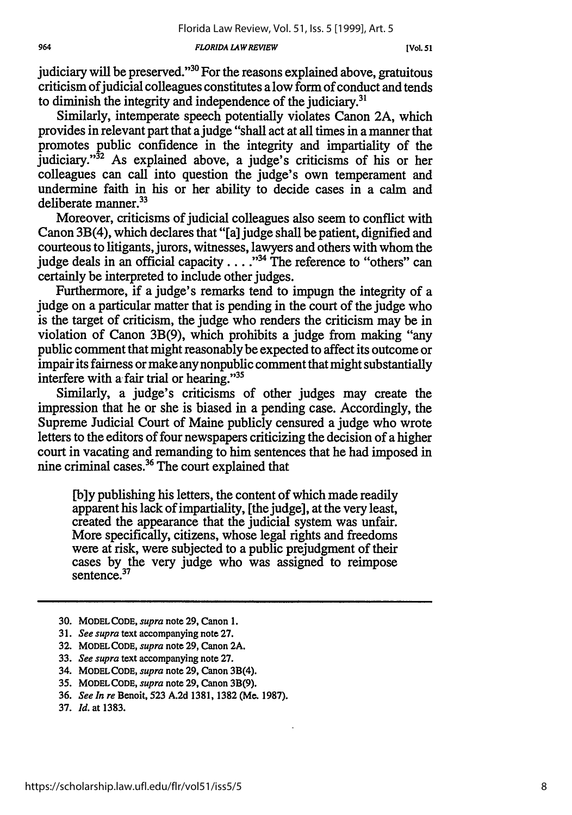*964 FLORIDA LA4W REVIEW* **[Vol.** *51*

judiciary will be preserved." $30$  For the reasons explained above, gratuitous criticism of judicial colleagues constitutes a low form of conduct and tends to diminish the integrity and independence of the judiciary. $31$ 

Similarly, intemperate speech potentially violates Canon 2A, which provides in relevant part that ajudge "shall act at all times in a manner that promotes public confidence in the integrity and impartiality of the judiciary." $32$  As explained above, a judge's criticisms of his or her colleagues can call into question the judge's own temperament and undermine faith in his or her ability to decide cases in a calm and deliberate manner.<sup>33</sup>

Moreover, criticisms of judicial colleagues also seem to conflict with Canon 3B(4), which declares that "[a] judge shall be patient, dignified and courteous to litigants, jurors, witnesses, lawyers and others with whom the judge deals in an official capacity . . . .<sup>34</sup> The reference to "others" can certainly be interpreted to include other judges.

Furthermore, if a judge's remarks tend to impugn the integrity of a judge on a particular matter that is pending in the court of the judge who is the target of criticism, the judge who renders the criticism may be in violation of Canon 3B(9), which prohibits a judge from making "any public comment that might reasonably be expected to affect its outcome or impair its fairness or make any nonpublic comment that might substantially interfere with a fair trial or hearing."<sup>35</sup>

Similarly, a judge's criticisms of other judges may create the impression that he or she is biased in a pending case. Accordingly, the Supreme Judicial Court of Maine publicly censured a judge who wrote letters to the editors of four newspapers criticizing the decision of a higher court in vacating and remanding to him sentences that he had imposed in nine criminal cases. 36 The court explained that

[b]y publishing his letters, the content of which made readily apparent his lack of impartiality, [the judge], at the very least, created the appearance that the judicial system was unfair. More specifically, citizens, whose legal rights and freedoms were at risk, were subjected to a public prejudgment of their cases by the very judge who was assigned to reimpose sentence.<sup>37</sup>

- **30. MODEL CODE,** *supra* note **29, Canon 1.**
- **31.** *See supra* text accompanying note **27.**
- **32. MODEL CODE,** *supra* note **29, Canon 2A.**
- **33.** *See supra* text accompanying note **27.**
- 34. **MODEL CODE,** *supra* note **29,** Canon 3B(4).
- **35. MODEL CODE,** *supra* note **29, Canon** 3B(9).
- **36.** *See In re* Benoit, **523 A.2d 1381, 1382** (Me. **1987).**
- **37.** *Id.* at **1383.**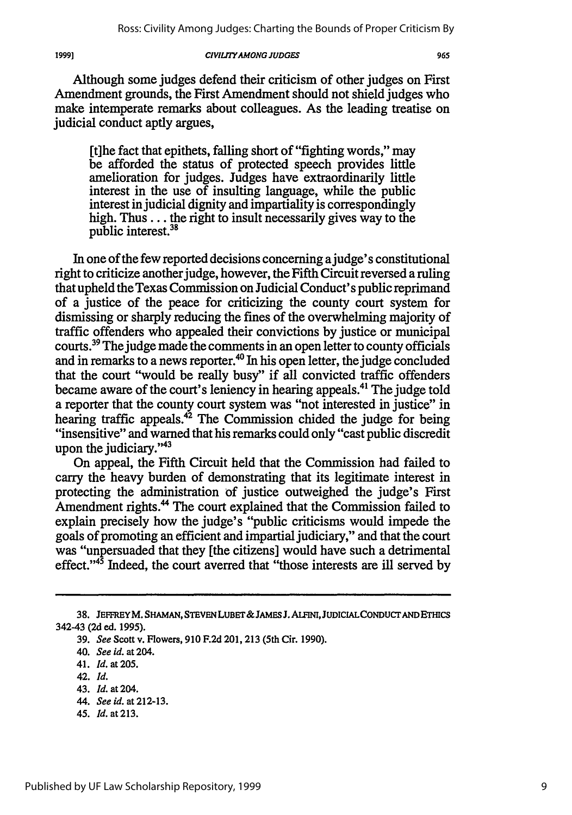19991

#### *CIVILI7YAMONG JUDGES*

Although some judges defend their criticism of other judges on First Amendment grounds, the First Amendment should not shield judges who make intemperate remarks about colleagues. As the leading treatise on judicial conduct aptly argues,

[t]he fact that epithets, falling short of "fighting words," may be afforded the status of protected speech provides little amelioration for judges. Judges have extraordinarily little interest in the use of insulting language, while the public interest in judicial dignity and impartiality is correspondingly high. Thus... the right to insult necessarily gives way to the public interest.<sup>38</sup>

In one of the few reported decisions concerning a judge's constitutional right to criticize another judge, however, the Fifth Circuit reversed a ruling that upheld the Texas Commission on Judicial Conduct's public reprimand of a justice of the peace for criticizing the county court system for dismissing or sharply reducing the fines of the overwhelming majority of traffic offenders who appealed their convictions by justice or municipal courts.<sup>39</sup> The judge made the comments in an open letter to county officials and in remarks to a news reporter.<sup>40</sup> In his open letter, the judge concluded that the court "would be really busy" if all convicted traffic offenders became aware of the court's leniency in hearing appeals.<sup>41</sup> The judge told a reporter that the county court system was "not interested in justice" in hearing traffic appeals.<sup>42</sup> The Commission chided the judge for being "insensitive" and warned that his remarks could only "cast public discredit upon the judiciary. $143$ 

On appeal, the Fifth Circuit held that the Commission had failed to carry the heavy burden of demonstrating that its legitimate interest in protecting the administration of justice outweighed the judge's First Amendment rights.<sup>44</sup> The court explained that the Commission failed to explain precisely how the judge's "public criticisms would impede the goals of promoting an efficient and impartial judiciary," and that the court was "unpersuaded that they [the citizens] would have such a detrimental effect." $45$  Indeed, the court averred that "those interests are ill served by

- 44. *See* id. at 212-13.
- 45. *Id.* at **213.**

**<sup>38.</sup> JEFFREYM. SHAMAN, STEVEN LUBET&JAMES J. ALFINI, JUDICIALCONDUCT AND ETHICS 342-43 (2d ed. 1995).**

**<sup>39.</sup>** *See* **Scott v. Flowers, 910 F.2d 201, 213 (5th Cir. 1990).**

**<sup>40.</sup>** *See id.* at 204.

<sup>41.</sup> *Id.* at 205.

<sup>42.</sup> *Id.*

<sup>43.</sup> *Id.* at 204.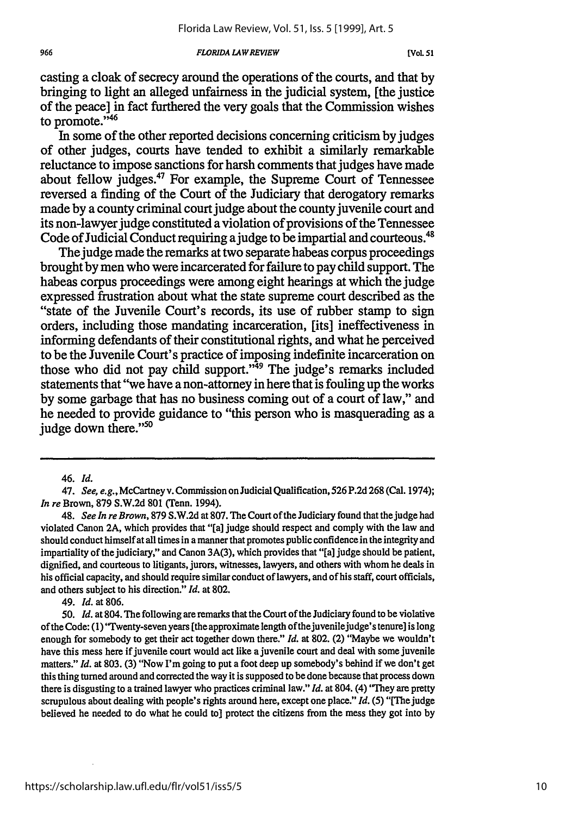#### *FLORIDA LAW REVIEW*

casting a cloak of secrecy around the operations of the courts, and that **by** bringing to light an alleged unfairness in the judicial system, [the justice of the peace] in fact furthered the very goals that the Commission wishes to promote."<sup>46</sup>

In some of the other reported decisions concerning criticism by judges of other judges, courts have tended to exhibit a similarly remarkable reluctance to impose sanctions for harsh comments that judges have made about fellow judges.47 For example, the Supreme Court of Tennessee reversed a finding of the Court of the Judiciary that derogatory remarks made **by** a county criminal court judge about the county juvenile court and its non-lawyer judge constituted a violation of provisions of the Tennessee Code of Judicial Conduct requiring a judge to be impartial and courteous.<sup>48</sup>

The judge made the remarks at two separate habeas corpus proceedings brought **by** men who were incarcerated for failure to pay child support. The habeas corpus proceedings were among eight hearings at which the judge expressed frustration about what the state supreme court described as the "state of the Juvenile Court's records, its use of rubber stamp to sign orders, including those mandating incarceration, [its] ineffectiveness in informing defendants of their constitutional rights, and what he perceived to be the Juvenile Court's practice of imposing indefinite incarceration on those who did not pay child support."<sup>49</sup> The judge's remarks included statements that "we have a non-attorney in here that is fouling up the works **by** some garbage that has no business coming out of a court of law," and he needed to provide guidance to "this person who is masquerading as a judge down there."<sup>50</sup>

49. *Id.* at **806.**

**50.** *Id.* at 804. **The** following are remarks that the Court of the Judiciary found to be violative of the Code: **(1)** 'Twenty-seven years [the approximate length of the juvenile judge's tenure] is long enough for somebody to get their act together down there." *Id.* at **802.** (2) "Maybe we wouldn't have this mess here if juvenile court would act like a juvenile court and deal with some juvenile matters." *Id.* at **803. (3)** "Now I'm going to put a foot deep up somebody's behind if we don't get this thing turned around and corrected the way it is supposed to be done because that process down there is disgusting to a trained lawyer who practices criminal law." *Id.* at 804. (4) **'They** are pretty scrupulous about dealing with people's rights around here, except one place." *Id.* **(5)** "[The judge believed he needed to do what he could to] protect the citizens from the mess they got into **by**

**<sup>46.</sup>** *Id.*

**<sup>47.</sup>** *See, e.g.,* McCartney v. Commission on JudicialQualification, **526 P.2d 268** (Cal. 1974); *In re* Brown, **879 S.W.2d 801** (Tenn. 1994).

<sup>48.</sup> *See In re Brown,* **879 S.W.2d** at **807.** The Court of the Judiciary found that the judge had violated Canon **2A,** which provides that "[a] judge should respect and comply with the law and should conduct himself at all times in a manner that promotes public confidence in the integrity and impartiality of the judiciary," and Canon **3A(3),** which provides that "[a] judge should be patient, dignified, and courteous to litigants, jurors, witnesses, lawyers, and others with whom he deals in his official capacity, and should require similar conduct of lawyers, and of his staff, court officials, and others subject to his direction." *Id.* at **802.**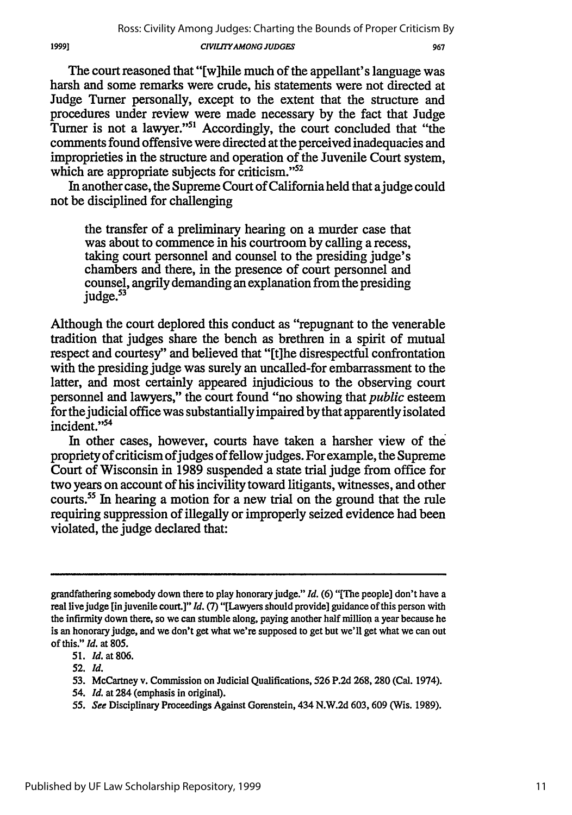#### *CIVILITYAMONG JUDGES*

967

The court reasoned that "[w]hile much of the appellant's language was harsh and some remarks were crude, his statements were not directed at Judge Turner personally, except to the extent that the structure and procedures under review were made necessary **by** the fact that Judge Turner is not a lawyer."<sup>51</sup> Accordingly, the court concluded that "the comments found offensive were directed at the perceived inadequacies and improprieties in the structure and operation of the Juvenile Court system, which are appropriate subjects for criticism."<sup>52</sup>

In another case, the Supreme Court of California held that a judge could not be disciplined for challenging

the transfer of a preliminary hearing on a murder case that was about to commence in his courtroom **by** calling a recess, taking court personnel and counsel to the presiding judge's chambers and there, in the presence of court personnel and counsel, angrily demanding an explanation from the presiding judge.<sup>53</sup>

Although the court deplored this conduct as "repugnant to the venerable tradition that judges share the bench as brethren in a spirit of mutual respect and courtesy" and believed that "[t]he disrespectful confrontation with the presiding judge was surely an uncalled-for embarrassment to the latter, and most certainly appeared injudicious to the observing court personnel and lawyers," the court found "no showing that *public* esteem for thejudicial office was substantially impaired **by** that apparently isolated incident."<sup>54</sup>

In other cases, however, courts have taken a harsher view of the propriety of criticism of judges of fellow judges. For example, the Supreme Court of Wisconsin in **1989** suspended a state trial judge from office for two years on account of his incivility toward litigants, witnesses, and other courts.55 In hearing a motion for a new trial on the ground that the rule requiring suppression of illegally or improperly seized evidence had been violated, the judge declared that:

54. *Id.* at 284 (emphasis in original).

grandfathering somebody down there to play honorary judge." *Id.* **(6)** *"[The* people] don't have a real live judge [in juvenile court.]" *Id.* **(7)** "[Lawyers should provide] guidance of this person with the infirmity down there, so we can stumble along, paying another half million a year because he is an honorary judge, and we don't get what we're supposed to get but we'll get what we can out of this." *Id.* at **805.**

**<sup>51.</sup>** *Id.* at **806.**

**<sup>52.</sup>** *Id.*

**<sup>53.</sup>** McCartney v. Commission on Judicial Qualifications, **526 P.2d 268, 280** (Cal. 1974).

*<sup>55.</sup> See* Disciplinary Proceedings Against Gorenstein, 434 **N.W.2d 603, 609** (Wis. **1989).**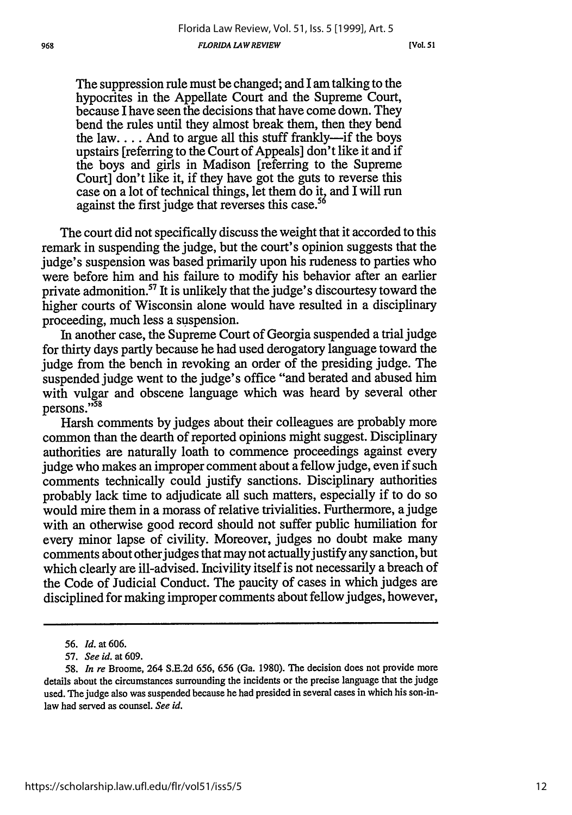*[Vol. 51*

The suppression rule must be changed; and I am talking to the hypocrites in the Appellate Court and the Supreme Court, because I have seen the decisions that have come down. They bend the rules until they almost break them, then they bend the law.... And to argue all this stuff frankly--if the boys upstairs [referring to the Court of Appeals] don't like it and if the boys and girls in Madison [referring to the Supreme Court] don't like it, if they have got the guts to reverse this case on a lot of technical things, let them do it, and I will run against the first judge that reverses this case.<sup>56</sup>

The court did not specifically discuss the weight that it accorded to this remark in suspending the judge, but the court's opinion suggests that the judge's suspension was based primarily upon his rudeness to parties who were before him and his failure to modify his behavior after an earlier private admonition.<sup>57</sup> It is unlikely that the judge's discourtesy toward the higher courts of Wisconsin alone would have resulted in a disciplinary proceeding, much less a suspension.

In another case, the Supreme Court of Georgia suspended a trial judge for thirty days partly because he had used derogatory language toward the judge from the bench in revoking an order of the presiding judge. The suspended judge went to the judge's office "and berated and abused him with vulgar and obscene language which was heard by several other persons."58

Harsh comments by judges about their colleagues are probably more common than the dearth of reported opinions might suggest. Disciplinary authorities are naturally loath to commence proceedings against every judge who makes an improper comment about a fellow judge, even if such comments technically could justify sanctions. Disciplinary authorities probably lack time to adjudicate all such matters, especially if to do so would mire them in a morass of relative trivialities. Furthermore, a judge with an otherwise good record should not suffer public humiliation for every minor lapse of civility. Moreover, judges no doubt make many comments about other judges that may not actually justify any sanction, but which clearly are ill-advised. Incivility itself is not necessarily a breach of the Code of Judicial Conduct. The paucity of cases in which judges are disciplined for making improper comments about fellow judges, however,

*<sup>56.</sup> Id.* at 606.

*<sup>57.</sup> See id.* at 609.

<sup>58.</sup> *In re* Broome, 264 S.E.2d 656, 656 (Ga. 1980). The decision does not provide more details about the circumstances surrounding the incidents or the precise language that the judge used. The judge also was suspended because he had presided in several cases in which his son-inlaw had served as counsel. *See id.*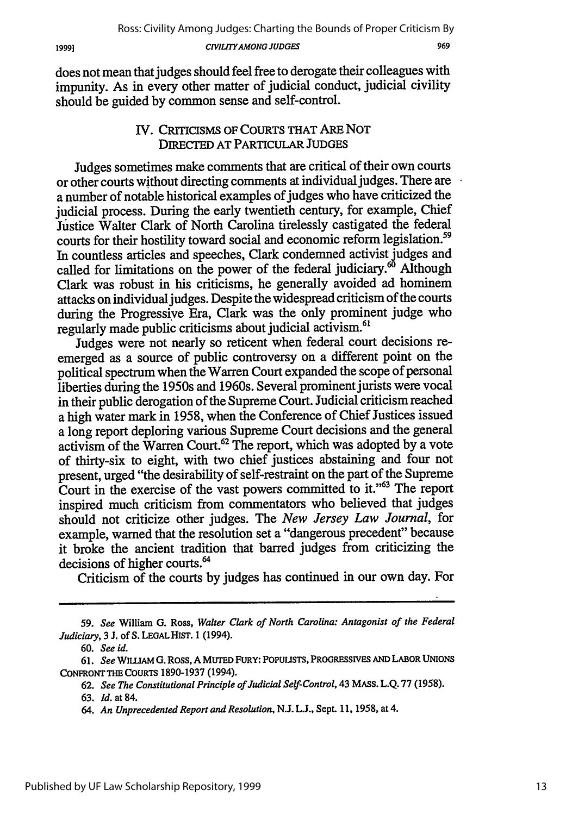does not mean that judges should feel free to derogate their colleagues with impunity. As in every other matter of judicial conduct, judicial civility should be guided by common sense and self-control.

## IV. CRITICISMS OF **COURTS** THAT ARE NOT DIRECTED **AT** PARTICULAR **JUDGES**

Judges sometimes make comments that are critical of their own courts or other courts without directing comments at individual judges. There are a number of notable historical examples of judges who have criticized the judicial process. During the early twentieth century, for example, Chief Justice Walter Clark of North Carolina tirelessly castigated the federal courts for their hostility toward social and economic reform legislation.<sup>59</sup> In countless articles and speeches, Clark condemned activist judges and called for limitations on the power of the federal judiciary.<sup>60</sup> Although Clark was robust in his criticisms, he generally avoided ad hominem attacks on individual judges. Despite the widespread criticism of the courts during the Progressive Era, Clark was the only prominent judge who regularly made public criticisms about judicial activism.<sup>61</sup>

Judges were not nearly so reticent when federal court decisions reemerged as a source of public controversy on a different point on the political spectrum when the Warren Court expanded the scope of personal liberties during the 1950s and 1960s. Several prominent jurists were vocal in their public derogation of the Supreme Court. Judicial criticism reached a high water mark in 1958, when the Conference of Chief Justices issued a long report deploring various Supreme Court decisions and the general activism of the Warren Court.<sup>62</sup> The report, which was adopted by a vote of thirty-six to eight, with two chief justices abstaining and four not present, urged "the desirability of self-restraint on the part of the Supreme Court in the exercise of the vast powers committed to it."63 The report inspired much criticism from commentators who believed that judges should not criticize other judges. The *New Jersey Law Journal,* for example, warned that the resolution set a "dangerous precedent" because it broke the ancient tradition that barred judges from criticizing the decisions of higher courts.<sup>64</sup>

Criticism of the courts by judges has continued in our own day. For

**62.** *See The Constitutional Principle of Judicial Self-Control,* 43 MASS. **L.Q. 77 (1958).** 63. *Id.* at 84.

<sup>59.</sup> *See* William G. Ross, *Walter Clark of North Carolina: Antagonist of the Federal Judiciary,* 3 **J.** of **S. LEGAL HIST. 1 (1994).**

<sup>60.</sup> *See id.*

**<sup>61.</sup>** *See* **WILLIAM G. ROSS, A MUTED FURY: POPULISTS, PROGRESSIVES AND LABOR UNIONS** CONFRONT **THE** COURTS **1890-1937** (1994).

<sup>64.</sup> *An Unprecedented Report and Resolution,* **N.J. L.J.,** Sept. 11, 1958, at 4.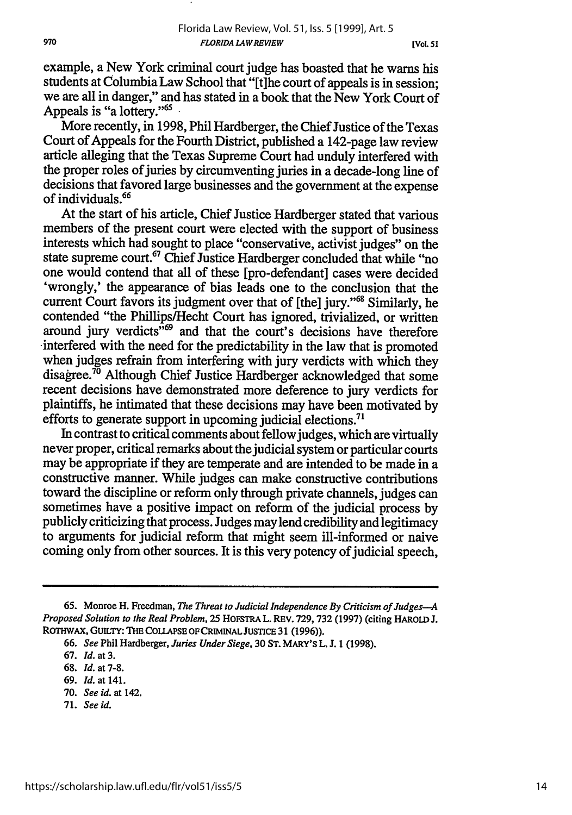example, a New York criminal court judge has boasted that he warns his students at Columbia Law School that "[t]he court of appeals is in session; we are all in danger," and has stated in a book that the New York Court of Appeals is "a lottery."<sup>65</sup>

More recently, in 1998, Phil Hardberger, the Chief Justice of the Texas Court of Appeals for the Fourth District, published a 142-page law review article alleging that the Texas Supreme Court had unduly interfered with the proper roles of juries by circumventing juries in a decade-long line of decisions that favored large businesses and the government at the expense of individuals.66

At the start of his article, Chief Justice Hardberger stated that various members of the present court were elected with the support of business interests which had sought to place "conservative, activist judges" on the state supreme court.<sup>67</sup> Chief Justice Hardberger concluded that while "no<br>one would contend that all of these [pro-defendant] cases were decided 'wrongly,' the appearance of bias leads one to the conclusion that the current Court favors its judgment over that of [the] jury."<sup>68</sup> Similarly, he contended "the Phillips/Hecht Court has ignored, trivialized, or written around jury verdicts<sup>"69</sup> and that the court's decisions have therefore interfered with the need for the predictability in the law that is promoted when judges refrain from interfering with jury verdicts with which they disagree.<sup>70</sup> Although Chief Justice Hardberger acknowledged that some recent decisions have demonstrated more deference to jury verdicts for plaintiffs, he intimated that these decisions may have been motivated by efforts to generate support in upcoming judicial elections.<sup>71</sup>

In contrast to critical comments about fellow judges, which are virtually never proper, critical remarks about the judicial system or particular courts may be appropriate if they are temperate and are intended to be made in a constructive manner. While judges can make constructive contributions toward the discipline or reform only through private channels, judges can sometimes have a positive impact on reform of the judicial process by publicly criticizing that process. Judges may lend credibility and legitimacy to arguments for judicial reform that might seem ill-informed or naive coming only from other sources. It is this very potency of judicial speech,

71. *See id.*

<sup>65.</sup> Monroe H. Freedman, *The Threat to Judicial Independence By Criticism of Judges-A Proposed Solution to the Real Problem,* 25 HOFSTRA L. REv. 729,732 (1997) (citing HAROLD J. ROTHwAX, GUILTY: THE COLLAPSE OF CRIMINAL JUSTICE 31 **(1996)).**

<sup>66.</sup> *See* Phil Hardberger, *Juries Under Siege,* 30 **ST.** MARY's L. J. 1 (1998).

<sup>67.</sup> *Id.* at 3.

<sup>68.</sup> *Id.* at 7-8.

<sup>69.</sup> *Id.* at 141.

<sup>70.</sup> *See id. at* 142.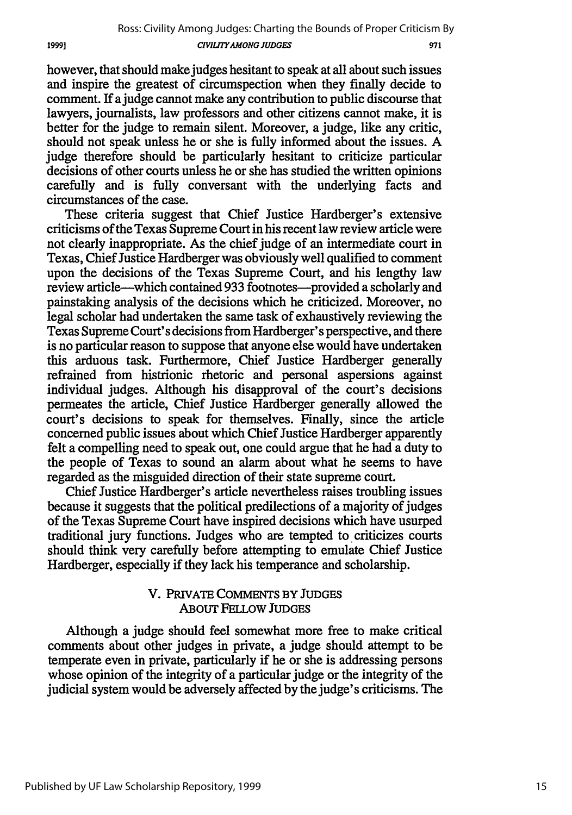however, that should make judges hesitant to speak at all about such issues and inspire the greatest of circumspection when they finally decide to comment. If a judge cannot make any contribution to public discourse that lawyers, journalists, law professors and other citizens cannot make, it is better for the judge to remain silent. Moreover, a judge, like any critic, should not speak unless he or she is fully informed about the issues. A judge therefore should be particularly hesitant to criticize particular decisions of other courts unless he or she has studied the written opinions carefully and is fully conversant with the underlying facts and circumstances of the case.

19991

These criteria suggest that Chief Justice Hardberger's extensive criticisms of the Texas Supreme Court in his recent law review article were not clearly inappropriate. As the chief judge of an intermediate court in Texas, Chief Justice Hardberger was obviously well qualified to comment upon the decisions of the Texas Supreme Court, and his lengthy law review article-which contained 933 footnotes-provided a scholarly and painstaking analysis of the decisions which he criticized. Moreover, no legal scholar had undertaken the same task of exhaustively reviewing the Texas Supreme Court's decisions from Hardberger's perspective, and there is no particular reason to suppose that anyone else would have undertaken this arduous task. Furthermore, Chief Justice Hardberger generally refrained from histrionic rhetoric and personal aspersions against individual judges. Although his disapproval of the court's decisions permeates the article, Chief Justice Hardberger generally allowed the court's decisions to speak for themselves. Finally, since the article concerned public issues about which Chief Justice Hardberger apparently felt a compelling need to speak out, one could argue that he had a duty to the people of Texas to sound an alarm about what he seems to have regarded as the misguided direction of their state supreme court.

Chief Justice Hardberger's article nevertheless raises troubling issues because it suggests that the political predilections of a majority of judges of the Texas Supreme Court have inspired decisions which have usurped traditional jury functions. Judges who are tempted to criticizes courts should think very carefully before attempting to emulate Chief Justice Hardberger, especially if they lack his temperance and scholarship.

## V. PRIVATE COMMENTS BY JUDGES ABouT FELLOW JUDGES

Although a judge should feel somewhat more free to make critical comments about other judges in private, a judge should attempt to be temperate even in private, particularly if he or she is addressing persons whose opinion of the integrity of a particular judge or the integrity of the judicial system would be adversely affected by the judge's criticisms. The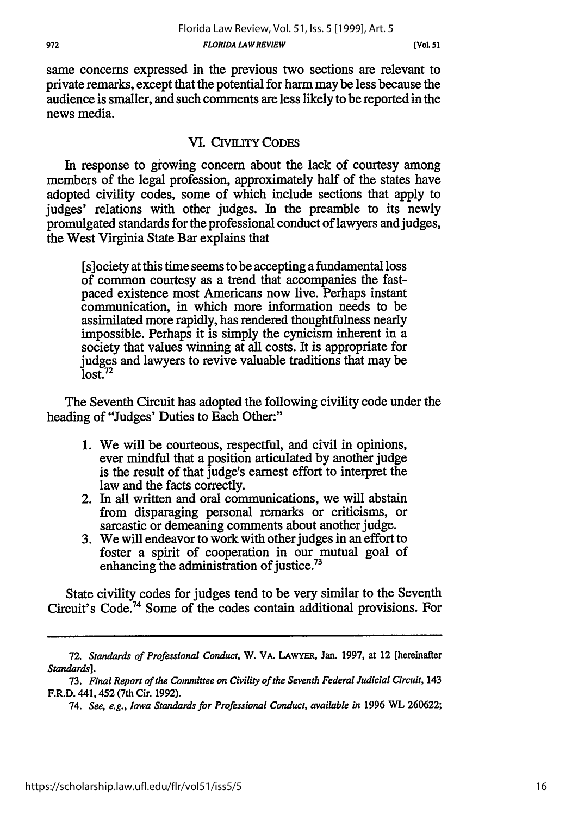same concerns expressed in the previous two sections are relevant to private remarks, except that the potential for harm may be less because the audience is smaller, and such comments are less likely to be reported in the news media.

## **VI. CIVILITY CODES**

In response to growing concern about the lack of courtesy among members of the legal profession, approximately half of the states have adopted civility codes, some of which include sections that apply to judges' relations with other judges. In the preamble to its newly promulgated standards for the professional conduct of lawyers and judges, the West Virginia State Bar explains that

[s]ociety at this time seems to be accepting a fundamental loss of common courtesy as a trend that accompanies the fastpaced existence most Americans now live. Perhaps instant communication, in which more information needs to be assimilated more rapidly, has rendered thoughtfulness nearly impossible. Perhaps it is simply the cynicism inherent in a society that values winning at all costs. It is appropriate for judges and lawyers to revive valuable traditions that may be  $lost.<sup>72</sup>$ 

The Seventh Circuit has adopted the following civility code under the heading of "Judges' Duties to Each Other:"

- 1. We will be courteous, respectful, and civil in opinions, ever mindful that a position articulated by another judge is the result of that judge's earnest effort to interpret the law and the facts correctly.
- 2. In all written and oral communications, we will abstain from disparaging personal remarks or criticisms, or sarcastic or demeaning comments about another judge.
- 3. We will endeavor to work with other judges in an effort to foster a spirit of cooperation in our mutual goal of enhancing the administration of justice.<sup>73</sup>

State civility codes for judges tend to be very similar to the Seventh Circuit's Code.74 Some of the codes contain additional provisions. For

<sup>72.</sup> *Standards of Professional Conduct,* W. VA. LAWYER, Jan. 1997, at 12 [hereinafter *Standards].*

<sup>73.</sup> *Final Report of the Committee on Civility of the Seventh Federal Judicial Circuit,* 143 F.R.D. 441,452 (7th Cir. 1992).

<sup>74.</sup> *See, e.g., Iowa Standards for Professional Conduct, available in* 1996 WL 260622;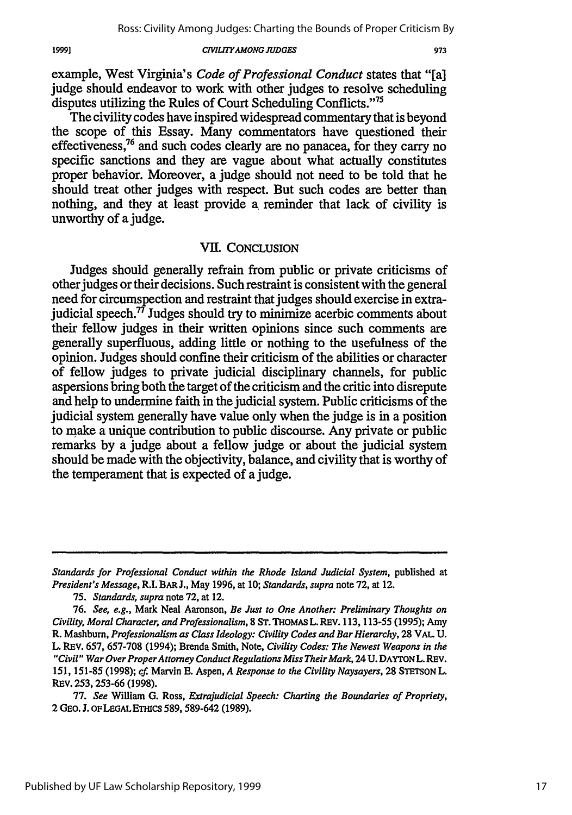973

**CIVIIrYAMONG JUDGES**

example, West Virginia's *Code of Professional Conduct* states that "[a] judge should endeavor to work with other judges to resolve scheduling disputes utilizing the Rules of Court Scheduling Conflicts."<sup>75</sup>

The civility codes have inspired widespread commentary that is beyond the scope of this Essay. Many commentators have questioned their effectiveness,<sup>76</sup> and such codes clearly are no panacea, for they carry no specific sanctions and they are vague about what actually constitutes proper behavior. Moreover, a judge should not need to be told that he should treat other judges with respect. But such codes are better than nothing, and they at least provide a reminder that lack of civility is unworthy of a judge.

#### VII. CONCLUSION

Judges should generally refrain from public or private criticisms of other judges or their decisions. Such restraint is consistent with the general need for circumspection and restraint that judges should exercise in extrajudicial speech. $\vec{r}$  Judges should try to minimize acerbic comments about their fellow judges in their written opinions since such comments are generally superfluous, adding little or nothing to the usefulness of the opinion. Judges should confine their criticism of the abilities or character of fellow judges to private judicial disciplinary channels, for public aspersions bring both the target of the criticism and the critic into disrepute and help to undermine faith in the judicial system. Public criticisms of the judicial system generally have value only when the judge is in a position to make a unique contribution to public discourse. Any private or public remarks by a judge about a fellow judge or about the judicial system should be made with the objectivity, balance, and civility that is worthy of the temperament that is expected of a judge.

Standards for Professional Conduct within the Rhode Island Judicial System, published at *President's Message,* R.I. BAR J., May 1996, at 10; *Standards, supra* note 72, at 12.

<sup>75.</sup> *Standards, supra* note 72, at 12.

<sup>76.</sup> *See, e.g.,* Mark Neal Aaronson, *Be Just to One Another: Preliminary Thoughts on Civility, Moral Character, and Professionalism,* **8** ST. THOMAS L. REV. 113, 113-55 (1995); Amy R. Mashburn, *Professionalism as Class Ideology: Civility Codes and Bar Hierarchy,* 28 VAL U. L. REV. 657, 657-708 (1994); Brenda Smith, Note, *Civility Codes: The Newest Weapons in the "Civil" War Over ProperAttorney Conduct Regulations Miss Their Mark,* 24 U. DAYTONL. REV. 151, 151-85 (1998); cf. Marvin E. Aspen, *A Response to the Civility Naysayers,* 28 STETSON L. RsV. 253, 253-66 (1998).

<sup>77.</sup> *See* William G. Ross, *Extrajudicial Speech: Charting the Boundaries of Propriety,* 2 **GEO. J. oF** LEGAL ETHICS 589, 589-642 (1989).